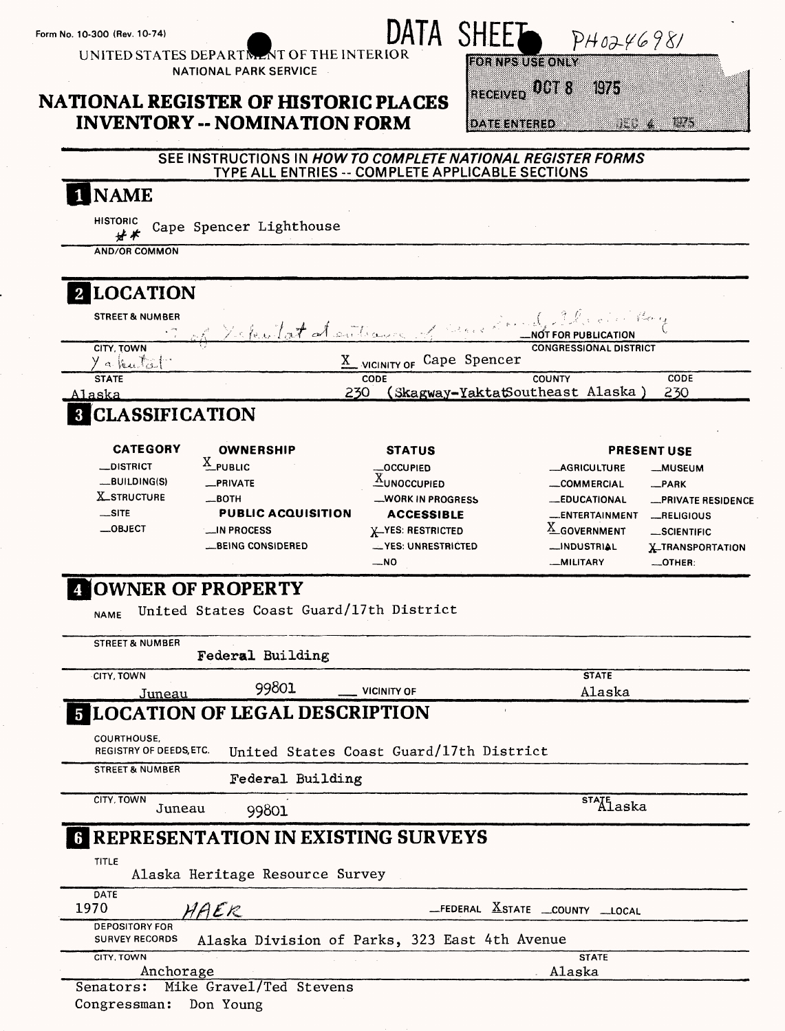**Form No. 10-300 (Rev. 10-74)**

# 10-300 (Rev. 10-74)<br>UNITED STATES DEPARTMENT OF THE INTERIOR

 $H0246981$ 

NATIONAL PARK SERVICE

|                                      | <b>Mataga</b> |
|--------------------------------------|---------------|
| NATIONAL REGISTER OF HISTORIC PLACES |               |
| <b>INVENTORY -- NOMINATION FORM</b>  | יימש          |

<sub>ved</sub> Oct 8 - 1975 DATE ENTERED 11 4 1975

### **SEE INSTRUCTIONS IN HOWTO COMPLETE NATIONAL REGISTER FORMS \_\_\_\_\_\_\_\_\_\_\_TYPE ALL ENTRIES - COMPLETE APPLICABLE SECTIONS\_\_\_\_\_**

| <b>INAME</b> |  |
|--------------|--|
|--------------|--|

**HISTORIC** Cape Spencer Lighthouse

| <b>AND/OR COMMON</b>                                                                                                              |                                                                                       |                                                               |                                                 |                                        |
|-----------------------------------------------------------------------------------------------------------------------------------|---------------------------------------------------------------------------------------|---------------------------------------------------------------|-------------------------------------------------|----------------------------------------|
| 2 LOCATION                                                                                                                        |                                                                                       |                                                               |                                                 |                                        |
| <b>STREET &amp; NUMBER</b>                                                                                                        |                                                                                       |                                                               | Yelew lat at entrance of parcel with experiment |                                        |
| CITY, TOWN                                                                                                                        |                                                                                       |                                                               | <b>CONGRESSIONAL DISTRICT</b>                   |                                        |
| Y a ku tat<br><b>STATE</b>                                                                                                        |                                                                                       | X VICINITY OF Cape Spencer<br>CODE                            | COUNTY                                          | CODE                                   |
| Alaska                                                                                                                            | 230                                                                                   |                                                               | (Skagway-YaktatSoutheast Alaska)                | 230                                    |
| <b>CLASSIFICATION</b>                                                                                                             |                                                                                       |                                                               |                                                 |                                        |
| <b>CATEGORY</b>                                                                                                                   | <b>OWNERSHIP</b>                                                                      | <b>STATUS</b>                                                 |                                                 | <b>PRESENT USE</b>                     |
| <b>__DISTRICT</b>                                                                                                                 | $X$ PUBLIC                                                                            | <b>_OCCUPIED</b>                                              | <b>__AGRICULTURE</b>                            | <b>__MUSEUM</b>                        |
| __BUILDING(S)                                                                                                                     | -PRIVATE                                                                              | AUNOCCUPIED                                                   | <b>__COMMERCIAL</b>                             |                                        |
| <b>X_STRUCTURE</b>                                                                                                                | $-$ BOTH                                                                              | WORK IN PROGRESS                                              |                                                 | $R$ PARK                               |
| $\equiv$ SITE                                                                                                                     | <b>PUBLIC ACQUISITION</b>                                                             | <b>ACCESSIBLE</b>                                             | <b>__EDUCATIONAL</b><br><b>__ENTERTAINMENT</b>  | <b>_PRIVATE RESIDENCE</b><br>RELIGIOUS |
| $\_$ OBJECT                                                                                                                       | <b>LIN PROCESS</b>                                                                    | X-YES: RESTRICTED                                             | X_GOVERNMENT                                    | _SCIENTIFIC                            |
|                                                                                                                                   | <b>EBEING CONSIDERED</b>                                                              | -YES: UNRESTRICTED                                            | <b>__INDUSTRIAL</b>                             | X-TRANSPORTATION                       |
|                                                                                                                                   |                                                                                       | $-NO$                                                         | __MILITARY                                      | .OTHER:                                |
| <b>STREET &amp; NUMBER</b><br>CITY, TOWN<br>Juneau<br><b>COURTHOUSE,</b><br>REGISTRY OF DEEDS, ETC.<br><b>STREET &amp; NUMBER</b> | Federal Building<br>99801<br><b>LOCATION OF LEGAL DESCRIPTION</b><br>Federal Building | <b>VICINITY OF</b><br>United States Coast Guard/17th District | <b>STATE</b><br>Alaska                          |                                        |
| CITY, TOWN<br>Juneau                                                                                                              | 99801                                                                                 |                                                               | STALE aska                                      |                                        |
| 111 LE                                                                                                                            | REPRESENTATION IN EXISTING SURVEYS<br>Alaska Heritage Resource Survey                 |                                                               |                                                 |                                        |
| DATE<br>1970                                                                                                                      | HAER                                                                                  |                                                               | FEDERAL <b>XSTATE</b> COUNTY LOCAL              |                                        |
| <b>DEPOSITORY FOR</b><br><b>SURVEY RECORDS</b>                                                                                    | Alaska Division of Parks, 323 East 4th Avenue                                         |                                                               |                                                 |                                        |
| CITY, TOWN                                                                                                                        |                                                                                       |                                                               | <b>STATE</b>                                    |                                        |
| Anchorage                                                                                                                         |                                                                                       |                                                               | Alaska                                          |                                        |
| Senators:                                                                                                                         | Mike Gravel/Ted Stevens                                                               |                                                               |                                                 |                                        |
| Congressman:                                                                                                                      | Don Young                                                                             |                                                               |                                                 |                                        |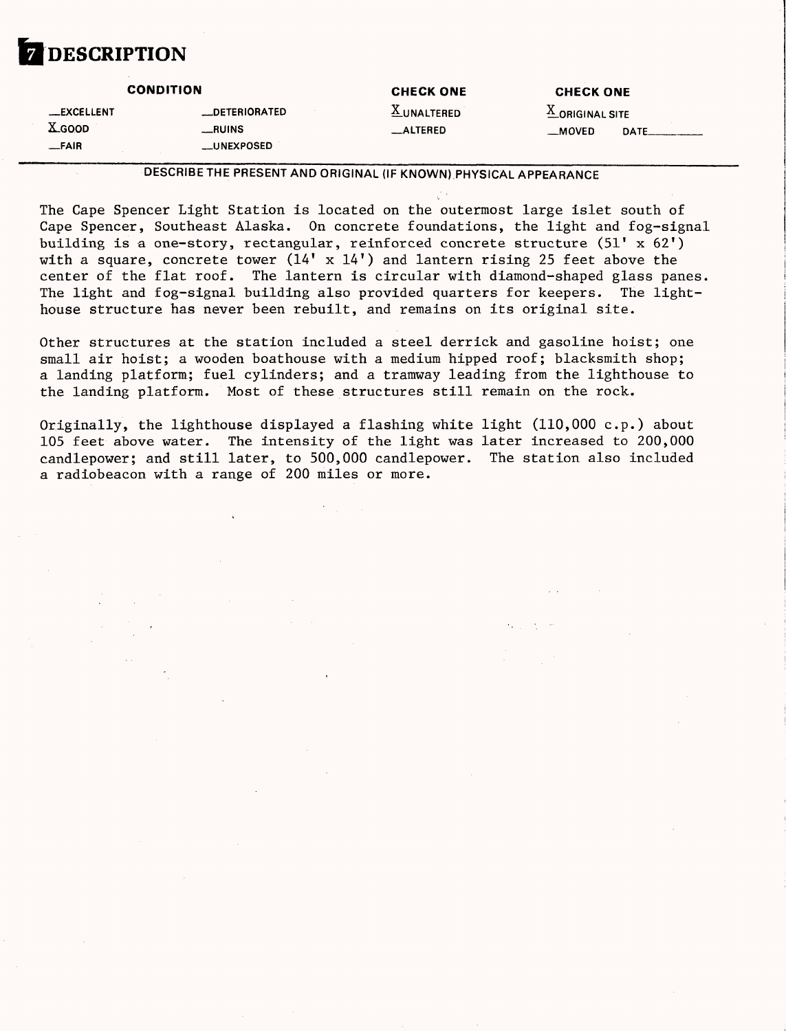

| <b>CONDITION</b>                        |                                                | <b>CHECK ONE</b>               | <b>CHECK ONE</b>                      |      |
|-----------------------------------------|------------------------------------------------|--------------------------------|---------------------------------------|------|
| __EXCELLENT<br><b>X</b> GOOD<br>$-FAIR$ | <b>LOETERIORATED</b><br>__RUINS<br>__UNEXPOSED | <b>XUNALTERED</b><br>__ALTERED | $\triangle$ ORIGINAL SITE<br>$-MOVED$ | DATE |

**DESCRIBE THE PRESENT AND ORIGINAL (IF KNOWN) PHYSICAL APPEARANCE**

The Cape Spencer Light Station is located on the outermost large islet south of Cape Spencer, Southeast Alaska. On concrete foundations, the light and fog-signal building is a one-story, rectangular, reinforced concrete structure  $(51' \times 62')$ with a square, concrete tower  $(14' \times 14')$  and lantern rising 25 feet above the center of the flat roof. The lantern is circular with diamond-shaped glass panes. The light and fog-signal building also provided quarters for keepers. The lighthouse structure has never been rebuilt, and remains on its original site.

Other structures at the station included a steel derrick and gasoline hoist; one small air hoist; a wooden boathouse with a medium hipped roof; blacksmith shop; a landing platform; fuel cylinders; and a tramway leading from the lighthouse to the landing platform. Most of these structures still remain on the rock.

Originally, the lighthouse displayed a flashing white light (110,000 c.p.) about 105 feet above water. The intensity of the light was later increased to 200,000 candlepower; and still later, to 500,000 candlepower. The station also included a radiobeacon with a range of 200 miles or more.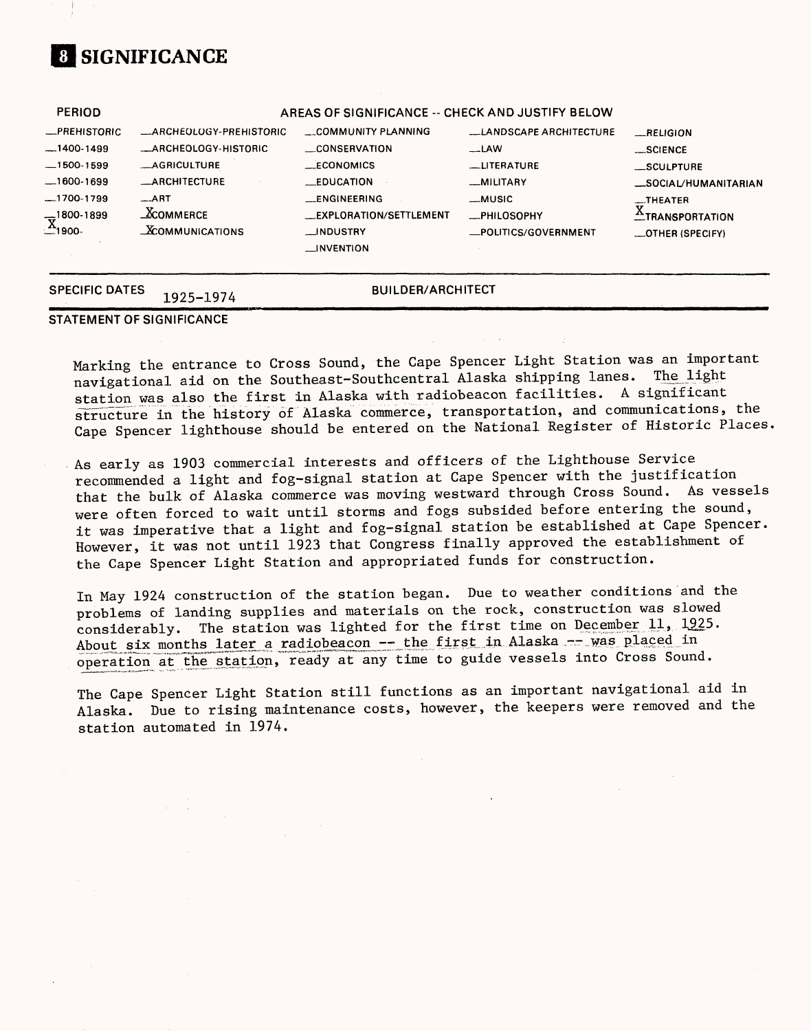### **8 SIGNIFICANCE**

| <b>PERIOD</b>                  | AREAS OF SIGNIFICANCE -- CHECK AND JUSTIFY BELOW |                                                 |                                |                                                |
|--------------------------------|--------------------------------------------------|-------------------------------------------------|--------------------------------|------------------------------------------------|
| <b>_PREHISTORIC</b>            | _ARCHEOLOGY-PREHISTORIC                          | COMMUNITY PLANNING                              | <b>LLANDSCAPE ARCHITECTURE</b> | $$ RELIGION                                    |
| $-1400-1499$<br>$-1500 - 1599$ | -ARCHEOLOGY-HISTORIC<br><b>_AGRICULTURE</b>      | CONSERVATION<br>ECONOMICS                       | -LAW<br><b>LITERATURE</b>      | _SCIENCE<br>_SCULPTURE                         |
| $-1600-1699$                   | <b>_ARCHITECTURE</b>                             | <b>EDUCATION</b>                                | __MILITARY                     | _SOCIAL/HUMANITARIAN                           |
| $-1700-1799$                   | $-$ ART<br>$X$ COMMERCE                          | <b>__ENGINEERING</b><br>_EXPLORATION/SETTLEMENT | <b>_MUSIC</b><br>-PHILOSOPHY   | $_{\text{}}$ THEATER<br><b>LIRANSPORTATION</b> |
| $\frac{1800-1899}{X_{1900}}$   | <b>XCOMMUNICATIONS</b>                           | <b>INDUSTRY</b><br>__INVENTION                  | -POLITICS/GOVERNMENT           | $\equiv$ OTHER (SPECIFY)                       |
|                                |                                                  |                                                 |                                |                                                |

**SPECIFIC DATES** 1925-1974 **BUILDER/ARCHITECT**

**STATEMENT OF SIGNIFICANCE**

Marking the entrance to Cross Sound, the Cape Spencer Light Station was an important navigational aid on the Southeast-Southcentral Alaska shipping lanes. The light station was also the first in Alaska with radiobeacon facilities. A significant structure in the history of Alaska commerce, transportation, and communications, the Cape Spencer lighthouse should be entered on the National Register of Historic Places.

As early as 1903 commercial interests and officers of the Lighthouse Service recommended a light and fog-signal station at Cape Spencer with the justification that the bulk of Alaska commerce was moving westward through Cross Sound. As vessels were often forced to wait until storms and fogs subsided before entering the sound, it was imperative that a light and fog-signal station be established at Cape Spencer. However, it was not until 1923 that Congress finally approved the establishment of the Cape Spencer Light Station and appropriated funds for construction.

In May 1924 construction of the station began. Due to weather conditions and the problems of landing supplies and materials on the rock, construction was slowed considerably. The station was lighted for the first time on December 11, 1925. About six months later a radiobeacon -- the first in Alaska -- was placed in operation at the station, ready at any time to guide vessels into Cross Sound.

The Cape Spencer Light Station still functions as an important navigational aid in Alaska. Due to rising maintenance costs, however, the keepers were removed and the station automated in 1974.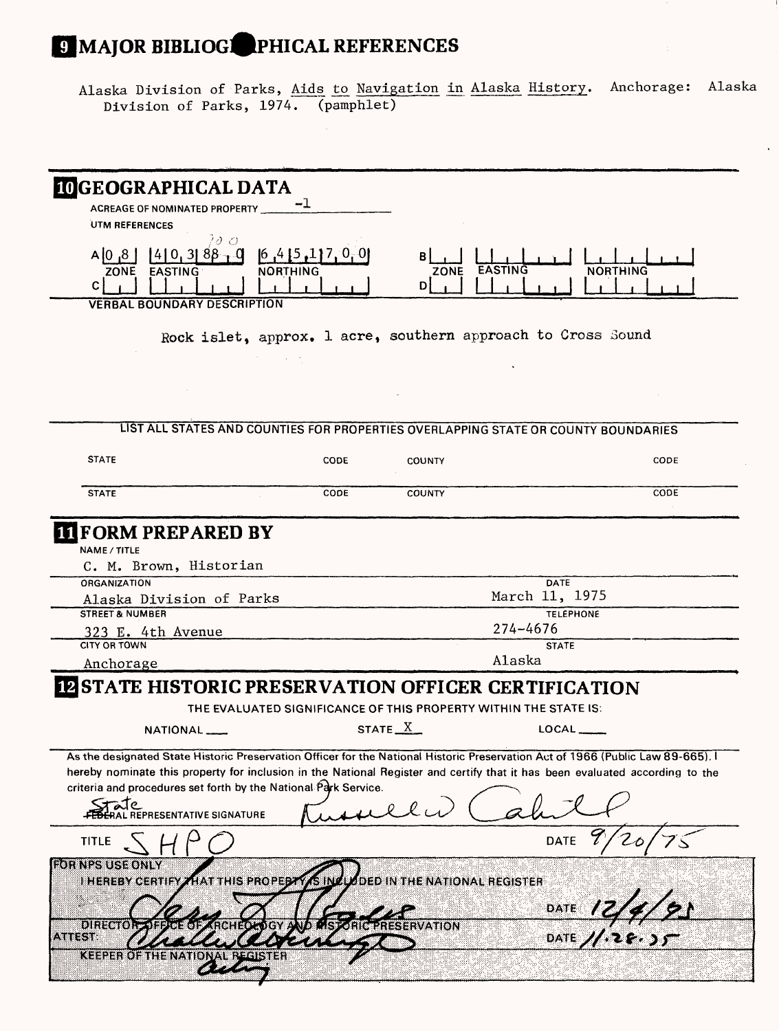# **9 MAJOR BIBLIOGO PHICAL REFERENCES**

Alaska Division of Parks, Aids to Navigation in Alaska History. Anchorage: Alaska Division of Parks, 1974. (pamphlet)

 $\bar{\mathbf{r}}$ 

| <b>IOGEOGRAPHICAL DATA</b>                                                         |                                         |                                                                  |                                                                                                                               |
|------------------------------------------------------------------------------------|-----------------------------------------|------------------------------------------------------------------|-------------------------------------------------------------------------------------------------------------------------------|
| ACREAGE OF NOMINATED PROPERTY                                                      |                                         |                                                                  |                                                                                                                               |
| <b>UTM REFERENCES</b>                                                              |                                         |                                                                  |                                                                                                                               |
| 70 O                                                                               |                                         |                                                                  |                                                                                                                               |
| 8,0 A                                                                              | $[4]0, 3]88 - 9$ [6 $[4]5, 1]7, 0, 0$ ] |                                                                  |                                                                                                                               |
| ZONE EASTING                                                                       | <b>NORTHING</b>                         | EASTING<br>ZONE<br>D                                             | <b>NORTHING</b>                                                                                                               |
| <b>VERRAL BOUNDARY DESCRIPTION</b>                                                 |                                         |                                                                  |                                                                                                                               |
|                                                                                    |                                         |                                                                  |                                                                                                                               |
|                                                                                    |                                         | Rock islet, approx. 1 acre, southern approach to Cross Sound     |                                                                                                                               |
|                                                                                    |                                         |                                                                  |                                                                                                                               |
|                                                                                    |                                         |                                                                  |                                                                                                                               |
|                                                                                    |                                         |                                                                  |                                                                                                                               |
|                                                                                    |                                         |                                                                  |                                                                                                                               |
|                                                                                    |                                         |                                                                  |                                                                                                                               |
|                                                                                    |                                         |                                                                  | LIST ALL STATES AND COUNTIES FOR PROPERTIES OVERLAPPING STATE OR COUNTY BOUNDARIES                                            |
| <b>STATE</b>                                                                       |                                         |                                                                  |                                                                                                                               |
|                                                                                    | CODE                                    | COUNTY                                                           | CODE                                                                                                                          |
| <b>STATE</b>                                                                       | CODE                                    | <b>COUNTY</b>                                                    | CODE                                                                                                                          |
|                                                                                    |                                         |                                                                  |                                                                                                                               |
|                                                                                    |                                         |                                                                  |                                                                                                                               |
| <b>FORM PREPARED BY</b>                                                            |                                         |                                                                  |                                                                                                                               |
| NAME / TITLE                                                                       |                                         |                                                                  |                                                                                                                               |
| C. M. Brown, Historian<br><b>ORGANIZATION</b>                                      |                                         |                                                                  |                                                                                                                               |
| Alaska Division of Parks                                                           |                                         |                                                                  | DATE<br>March 11, 1975                                                                                                        |
| <b>STREET &amp; NUMBER</b>                                                         |                                         |                                                                  | <b>TELEPHONE</b>                                                                                                              |
| 323 E. 4th Avenue                                                                  |                                         | 274–4676                                                         |                                                                                                                               |
| <b>CITY OR TOWN</b>                                                                |                                         |                                                                  | <b>STATE</b>                                                                                                                  |
| Anchorage                                                                          |                                         | Alaska                                                           |                                                                                                                               |
|                                                                                    |                                         |                                                                  |                                                                                                                               |
| <b>IZ STATE HISTORIC PRESERVATION OFFICER CERTIFICATION</b>                        |                                         |                                                                  |                                                                                                                               |
|                                                                                    |                                         | THE EVALUATED SIGNIFICANCE OF THIS PROPERTY WITHIN THE STATE IS: |                                                                                                                               |
| NATIONAL <sub>-</sub>                                                              |                                         | STATE $X_{-}$                                                    | $LOCAL$ <sub>___</sub>                                                                                                        |
|                                                                                    |                                         |                                                                  | As the designated State Historic Preservation Officer for the National Historic Preservation Act of 1966 (Public Law 89-665). |
|                                                                                    |                                         |                                                                  | hereby nominate this property for inclusion in the National Register and certify that it has been evaluated according to the  |
| criteria and procedures set forth by the National Park Service.                    |                                         |                                                                  |                                                                                                                               |
| State                                                                              |                                         |                                                                  |                                                                                                                               |
| PRESENTATIVE SIGNATURE                                                             |                                         | $R$ $R$ $($                                                      |                                                                                                                               |
| <b>TITLE</b>                                                                       |                                         |                                                                  | <b>DATE</b>                                                                                                                   |
| <b>LORNPS USE ONLY</b>                                                             |                                         |                                                                  |                                                                                                                               |
| <b>I HEREBY CERTIFY A LAT THIS PROPERTY AS IN LIMIDED IN THE NATIONAL REGISTER</b> |                                         |                                                                  |                                                                                                                               |
| s.                                                                                 |                                         |                                                                  |                                                                                                                               |
|                                                                                    |                                         |                                                                  | <b>DATE</b>                                                                                                                   |
| <b>DIRECTO</b><br><b>ATTEST:</b>                                                   |                                         | <b>ORIGINES ERVATION</b>                                         | DATE                                                                                                                          |
| <b>KEEPER OF THE NATIO</b>                                                         |                                         |                                                                  |                                                                                                                               |
|                                                                                    |                                         |                                                                  |                                                                                                                               |
|                                                                                    |                                         |                                                                  |                                                                                                                               |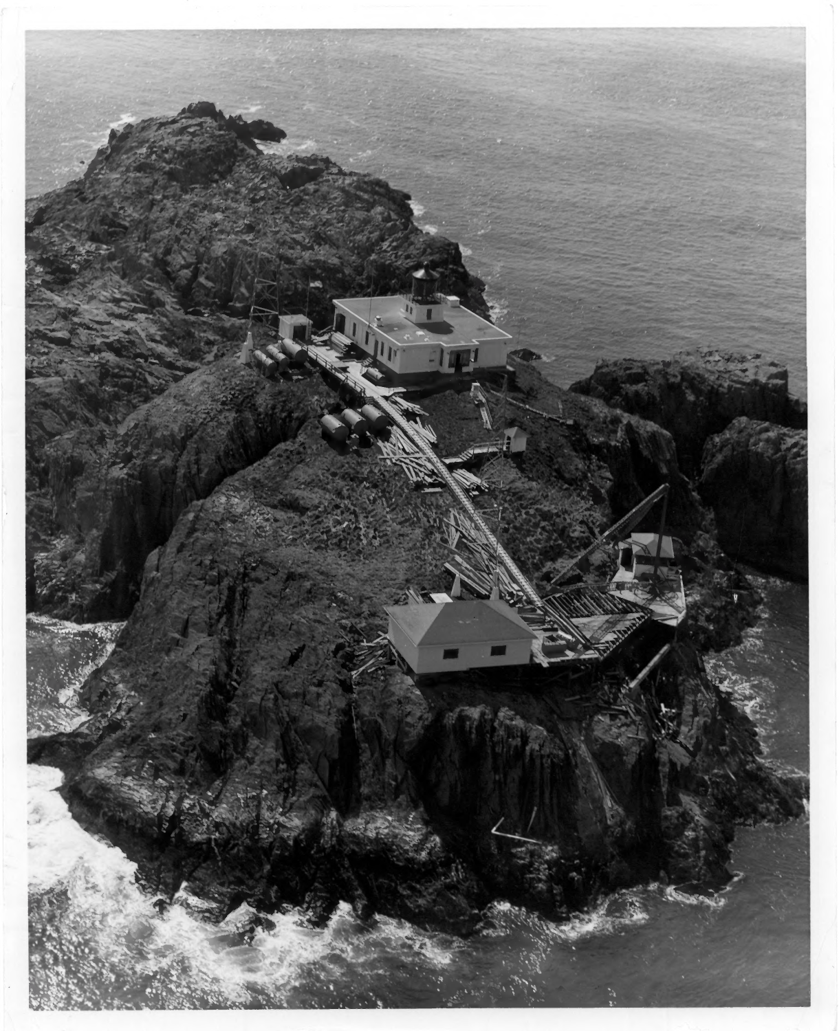